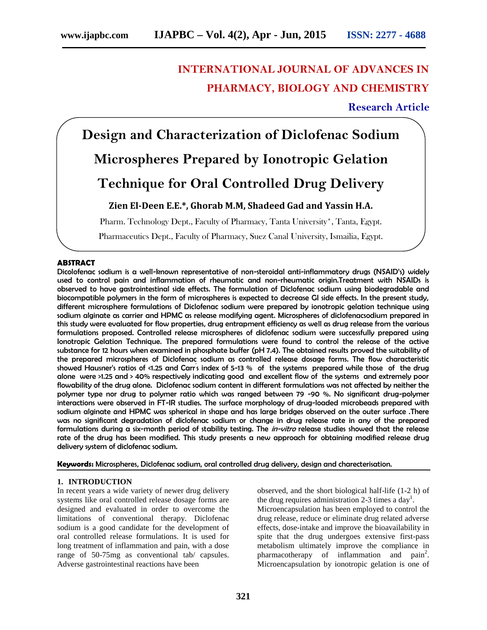## **INTERNATIONAL JOURNAL OF ADVANCES IN PHARMACY, BIOLOGY AND CHEMISTRY**

## **Research Article**

**Design and Characterization of Diclofenac Sodium Microspheres Prepared by Ionotropic Gelation Technique for Oral Controlled Drug Delivery**

## **Zien El-Deen E.E.\*, Ghorab M.M, Shadeed Gad and Yassin H.A.**

Pharm. Technology Dept., Faculty of Pharmacy, Tanta University\*, Tanta, Egypt. Pharmaceutics Dept., Faculty of Pharmacy, Suez Canal University, Ismailia, Egypt.

#### **ABSTRACT**

Dicolofenac sodium is a well-known representative of non-steroidal anti-inflammatory drugs (NSAID's) widely used to control pain and inflammation of rheumatic and non-rheumatic origin.Treatment with NSAIDs is observed to have gastrointestinal side effects. The formulation of Diclofenac sodium using biodegradable and biocompatible polymers in the form of microspheres is expected to decrease GI side effects. In the present study, different microsphere formulations of Diclofenac sodium were prepared by ionotropic gelation technique using sodium alginate as carrier and HPMC as release modifying agent. Microspheres of diclofenacsodium prepared in this study were evaluated for flow properties, drug entrapment efficiency as well as drug release from the various formulations proposed. Controlled release microspheres of diclofenac sodium were successfully prepared using Ionotropic Gelation Technique. The prepared formulations were found to control the release of the active substance for 12 hours when examined in phosphate buffer (pH 7.4). The obtained results proved the suitability of the prepared microspheres of Diclofenac sodium as controlled release dosage forms. The flow characteristic showed Hausner's ratios of <1.25 and Carr's index of 5-13 % of the systems prepared while those of the drug alone were >1.25 and > 40% respectively indicating good and excellent flow of the systems and extremely poor flowability of the drug alone. Diclofenac sodium content in different formulations was not affected by neither the polymer type nor drug to polymer ratio which was ranged between 79 -90 %. No significant drug-polymer interactions were observed in FT-IR studies. The surface morphology of drug-loaded microbeads prepared with sodium alginate and HPMC was spherical in shape and has large bridges observed on the outer surface .There was no significant degradation of diclofenac sodium or change in drug release rate in any of the prepared formulations during a six-month period of stability testing. The *in-vitro* release studies showed that the release rate of the drug has been modified. This study presents a new approach for obtaining modified release drug delivery system of diclofenac sodium.

**Keywords:** Microspheres, Diclofenac sodium, oral controlled drug delivery, design and charecterisation.

#### **1. INTRODUCTION**

In recent years a wide variety of newer drug delivery systems like oral controlled release dosage forms are designed and evaluated in order to overcome the limitations of conventional therapy. Diclofenac sodium is a good candidate for the development of oral controlled release formulations. It is used for long treatment of inflammation and pain, with a dose range of 50-75mg as conventional tab/ capsules. Adverse gastrointestinal reactions have been

observed, and the short biological half-life (1-2 h) of the drug requires administration 2-3 times a day<sup>1</sup>.

Microencapsulation has been employed to control the drug release, reduce or eliminate drug related adverse effects, dose-intake and improve the bioavailability in spite that the drug undergoes extensive first-pass metabolism ultimately improve the compliance in pharmacotherapy of inflammation and pain<sup>2</sup>. Microencapsulation by ionotropic gelation is one of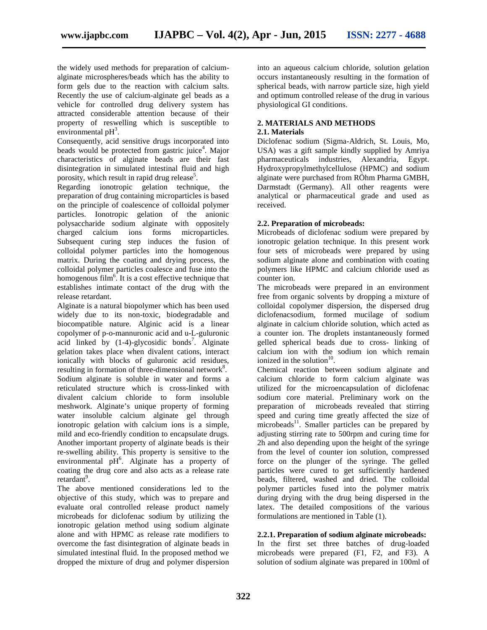the widely used methods for preparation of calcium alginate microspheres/beads which has the ability to form gels due to the reaction with calcium salts. Recently the use of calcium-alginate gel beads as a vehicle for controlled drug delivery system has attracted considerable attention because of their property of reswelling which is susceptible to environmental  $pH^3$ .

Consequently, acid sensitive drugs incorporated into beads would be protected from gastric juice<sup>4</sup>. Major characteristics of alginate beads are their fast disintegration in simulated intestinal fluid and high porosity, which result in rapid drug release<sup>5</sup>.

Regarding ionotropic gelation technique, the preparation of drug containing microparticles is based on the principle of coalescence of colloidal polymer particles. Ionotropic gelation of the anionic polysaccharide sodium alginate with oppositely charged calcium ions forms microparticles. Subsequent curing step induces the fusion of colloidal polymer particles into the homogenous matrix. During the coating and drying process, the colloidal polymer particles coalesce and fuse into the homogenous film<sup>6</sup>. It is a cost effective technique that establishes intimate contact of the drug with the release retardant.

Alginate is a natural biopolymer which has been used widely due to its non-toxic, biodegradable and biocompatible nature. Alginic acid is a linear copolymer of p-o-mannuronic acid and u-L-guluronic acid linked by  $(1-4)$ -glycosidic bonds<sup>7</sup>. Alginate gelation takes place when divalent cations, interact ionically with blocks of guluronic acid residues, resulting in formation of three-dimensional network<sup>8</sup>. Sodium alginate is soluble in water and forms a reticulated structure which is cross-linked with divalent calcium chloride to form insoluble meshwork. Alginate's unique property of forming water insoluble calcium alginate gel through ionotropic gelation with calcium ions is a simple, mild and eco-friendly condition to encapsulate drugs. Another important property of alginate beads is their re-swelling ability. This property is sensitive to the environmental pH<sup>6</sup>. Alginate has a property of coating the drug core and also acts as a release rate retardant<sup>9</sup>.

The above mentioned considerations led to the objective of this study, which was to prepare and evaluate oral controlled release product namely microbeads for diclofenac sodium by utilizing the ionotropic gelation method using sodium alginate alone and with HPMC as release rate modifiers to overcome the fast disintegration of alginate beads in simulated intestinal fluid. In the proposed method we dropped the mixture of drug and polymer dispersion

into an aqueous calcium chloride, solution gelation occurs instantaneously resulting in the formation of spherical beads, with narrow particle size, high yield and optimum controlled release of the drug in various physiological GI conditions.

### **2. MATERIALS AND METHODS**

#### **2.1. Materials**

Diclofenac sodium (Sigma-Aldrich, St. Louis, Mo, USA) was a gift sample kindly supplied by Amriya pharmaceuticals industries, Alexandria, Egypt. Hydroxypropylmethylcellulose (HPMC) and sodium alginate were purchased from RÖhm Pharma GMBH, Darmstadt (Germany). All other reagents were analytical or pharmaceutical grade and used as received.

#### **2.2. Preparation of microbeads:**

Microbeads of diclofenac sodium were prepared by ionotropic gelation technique. In this present work four sets of microbeads were prepared by using sodium alginate alone and combination with coating polymers like HPMC and calcium chloride used as counter ion.

The microbeads were prepared in an environment free from organic solvents by dropping a mixture of colloidal copolymer dispersion, the dispersed drug diclofenacsodium, formed mucilage of sodium alginate in calcium chloride solution, which acted as a counter ion. The droplets instantaneously formed gelled spherical beads due to cross- linking of calcium ion with the sodium ion which remain ionized in the solution $10$ . .

Chemical reaction between sodium alginate and calcium chloride to form calcium alginate was utilized for the microencapsulation of diclofenac sodium core material. Preliminary work on the preparation of microbeads revealed that stirring speed and curing time greatly affected the size of microbeads<sup>11</sup>. Smaller particles can be prepared by adjusting stirring rate to 500rpm and curing time for 2h and also depending upon the height of the syringe from the level of counter ion solution, compressed force on the plunger of the syringe. The gelled particles were cured to get sufficiently hardened beads, filtered, washed and dried. The colloidal polymer particles fused into the polymer matrix during drying with the drug being dispersed in the latex. The detailed compositions of the various formulations are mentioned in Table (1).

#### **2.2.1. Preparation of sodium alginate microbeads:**

In the first set three batches of drug-loaded microbeads were prepared (F1, F2, and F3). A solution of sodium alginate was prepared in 100ml of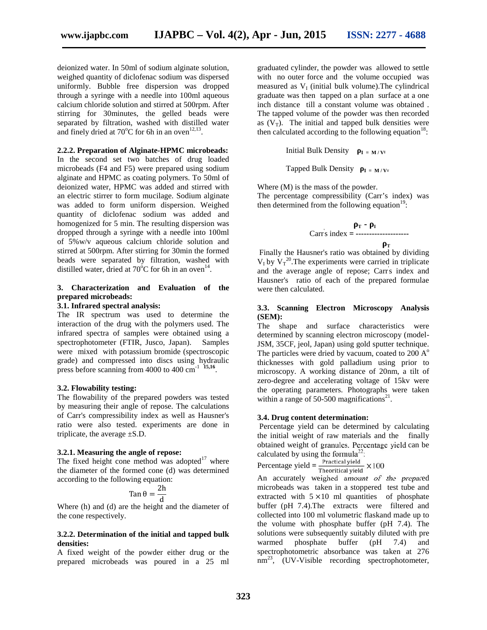deionized water. In 50ml of sodium alginate solution, weighed quantity of diclofenac sodium was dispersed uniformly. Bubble free dispersion was dropped through a syringe with a needle into 100ml aqueous calcium chloride solution and stirred at 500rpm. After stirring for 30minutes, the gelled beads were separated by filtration, washed with distilled water and finely dried at  $70^{\circ}$ C for 6h in an oven<sup>12,13</sup>.

**2.2.2. Preparation of Alginate-HPMC microbeads:**

In the second set two batches of drug loaded microbeads (F4 and F5) were prepared using sodium alginate and HPMC as coating polymers. To 50ml of deionized water, HPMC was added and stirred with an electric stirrer to form mucilage. Sodium alginate was added to form uniform dispersion. Weighed quantity of diclofenac sodium was added and homogenized for 5 min. The resulting dispersion was dropped through a syringe with a needle into 100ml of 5%w/v aqueous calcium chloride solution and stirred at 500rpm. After stirring for 30min the formed beads were separated by filtration, washed with distilled water, dried at  $70^{\circ}$ C for 6h in an oven<sup>14</sup>.

#### **3. Characterization and Evaluation of the prepared microbeads:**

#### **3.1. Infrared spectral analysis:**

The IR spectrum was used to determine the interaction of the drug with the polymers used. The infrared spectra of samples were obtained using a spectrophotometer (FTIR, Jusco, Japan). Samples were mixed with potassium bromide (spectroscopic grade) and compressed into discs using hydraulic press before scanning from  $4000$  to  $400 \text{ cm}^{-1}$  15,16.

#### **3.2. Flowability testing:**

The flowability of the prepared powders was tested by measuring their angle of repose. The calculations of Carr's compressibility index as well as Hausner's ratio were also tested. experiments are done in triplicate, the average ±S.D.

#### **3.2.1. Measuring the angle of repose:**

The fixed height cone method was adopted $17$  where the diameter of the formed cone (d) was determined according to the following equation:

$$
\tan \theta = \frac{2h}{d}
$$

d Where (h) and (d) are the height and the diameter of the cone respectively.

#### **3.2.2. Determination of the initial and tapped bulk** solutions densities warmed **densities:**

A fixed weight of the powder either drug or the prepared microbeads was poured in a 25 ml

graduated cylinder, the powder was allowed to settle with no outer force and the volume occupied was measured as  $V_I$  (initial bulk volume). The cylindrical graduate was then tapped on a plan surface at a one inch distance till a constant volume was obtained . The tapped volume of the powder was then recorded as  $(V_T)$ . The initial and tapped bulk densities were then calculated according to the following equation<sup>18</sup>:

> Initial Bulk Density  $I = M/VI$ Tapped Bulk Density  $I = M/V<sub>T</sub>$

Where (M) is the mass of the powder. The percentage compressibility (Carr's index) was then determined from the following equation<sup>19</sup>:

$$
\begin{array}{c}\n \text{or} \\
 \text{Carrs index} = \text{---} \\
 \text{---} \\
 \text{---} \\
 \text{---} \\
 \text{---} \\
 \text{---} \\
 \text{---} \\
 \text{---} \\
 \text{---} \\
 \text{---} \\
 \text{---} \\
 \text{---} \\
 \text{---} \\
 \text{---} \\
 \text{---} \\
 \text{---} \\
 \text{---} \\
 \text{---} \\
 \text{---} \\
 \text{---} \\
 \text{---} \\
 \text{---} \\
 \text{---} \\
 \text{---} \\
 \text{---} \\
 \text{---} \\
 \text{---} \\
 \text{---} \\
 \text{---} \\
 \text{---} \\
 \text{---} \\
 \text{---} \\
 \text{---} \\
 \text{---} \\
 \text{---} \\
 \text{---} \\
 \text{---} \\
 \text{---} \\
 \text{---} \\
 \text{---} \\
 \text{---} \\
 \text{---} \\
 \text{---} \\
 \text{---} \\
 \text{---} \\
 \text{---} \\
 \text{---} \\
 \text{---} \\
 \text{---} \\
 \text{---} \\
 \text{---} \\
 \text{---} \\
 \text{---} \\
 \text{---} \\
 \text{---} \\
 \text{---} \\
 \text{---} \\
 \text{---} \\
 \text{---} \\
 \text{---} \\
 \text{---} \\
 \text{---} \\
 \text{---} \\
 \text{---} \\
 \text{---} \\
 \text{---} \\
 \text{---} \\
 \text{---} \\
 \text{---} \\
 \text{---} \\
 \text{---} \\
 \text{---} \\
 \text{---} \\
 \text{---} \\
 \text{---} \\
 \text{---} \\
 \text{---} \\
 \text{---} \\
 \text{---} \\
 \text{---} \\
 \text{---} \\
 \text{---} \\
 \text{---} \\
 \text{---} \\
 \text{---} \\
 \text{---} \\
 \text{---} \\
 \text{---} \\
 \text{---} \\
 \text{---} \\
 \text{---} \\
 \text{---} \\
 \text{---} \\
 \text{---} \\
 \text{---} \\
 \text{---} \\
 \text{---} \\
 \text{---} \\
 \text{---} \\
 \text{---} \\
 \text{---} \\
 \text{---} \\
 \text{---} \\
 \text{---} \\
 \text{---} \\
 \text{---} \\
 \text{---} \\
 \text{---} \\
 \text{---} \\
 \text{---} \\
 \text{---} \\
 \text{---} \\
 \text{---} \\
 \text{---} \\
 \text{---} \\
 \text{---} \\
 \text{---} \\
 \text{---} \\
 \text{---} \\
 \text{---} \\
 \text{---} \\
 \text{---} \\
 \text{---} \\
$$

**T** Finally the Hausner's ratio was obtained by dividing  $V_I$  by  $V_T^{20}$ . The experiments were carried in triplicate and the average angle of repose; Carr's index and Hausner's ratio of each of the prepared formulae were then calculated.

#### **3.3. Scanning Electron Microscopy Analysis (SEM):**

The shape and surface characteristics were determined by scanning electron microscopy (model- JSM, 35CF, jeol, Japan) using gold sputter technique. The particles were dried by vacuum, coated to  $200 \text{ A}^{\circ}$ thicknesses with gold palladium using prior to microscopy. A working distance of 20nm, a tilt of zero-degree and accelerating voltage of 15kv were the operating parameters. Photographs were taken within a range of 50-500 magnifications<sup>21</sup>.

#### **3.4. Drug content determination:**

Percentage yield can be determined by calculating the initial weight of raw materials and the finally obtained weight of granules. Percentage yield can be calculated by using the formula<sup>22</sup>:

Percentage yield  $=$   $\frac{\text{Practical yield}}{\text{Theoretical yield}} \times 100$ 

An accurately weighed amount of the prepared microbeads was taken in a stoppered test tube and extracted with  $5 \times 10$  ml quantities of phosphate buffer (pH 7.4).The extracts were filtered and collected into 100 ml volumetric flaskand made up to the volume with phosphate buffer (pH 7.4). The solutions were subsequently suitably diluted with pre phosphate buffer  $(pH 7.4)$  and spectrophotometric absorbance was taken at 276  $nm^{23}$ , (UV-Visible recording spectrophotometer,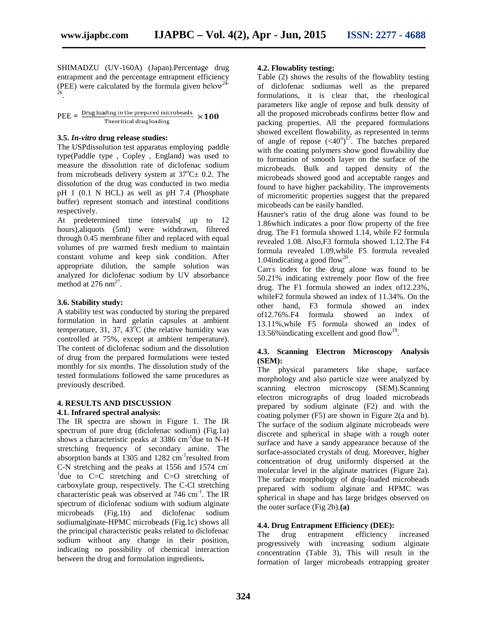SHIMADZU (UV-160A) (Japan).Percentage drug entrapment and the percentage entrapment efficiency (PEE) were calculated by the formula given below<sup>24</sup> .

 $\text{PEE} = \frac{\text{Drug loading in the prepared microbeads}}{\text{Theoretical drug loading}} \times 100$ 

#### **3.5.** *In-vitro* **drug release studies:**

The USPdissolution test apparatus employing paddle type(Paddle type , Copley , England) was used to measure the dissolution rate of diclofenac sodium from microbeads delivery system at  $37^{\circ}$ C $\pm$  0.2. The dissolution of the drug was conducted in two media pH 1 (0.1 N HCL) as well as pH 7.4 (Phosphate buffer) represent stomach and intestinal conditions respectively.

At predetermined time intervals( up to 12 hours),aliquots (5ml) were withdrawn, filtered through 0.45 membrane filter and replaced with equal volumes of pre warmed fresh medium to maintain constant volume and keep sink condition. After appropriate dilution, the sample solution was analyzed for diclofenac sodium by UV absorbance method at  $276 \text{ nm}^{27}$ .

#### **3.6. Stability study:**

A stability test was conducted by storing the prepared  $\frac{\text{other than}}{\text{off}}2.76\%$ . F4 formulation in hard gelatin capsules at ambient temperature, 31, 37, 43 $^{\circ}$ C (the relative humidity was controlled at 75%, except at ambient temperature). The content of diclofenac sodium and the dissolution of drug from the prepared formulations were tested monthly for six months. The dissolution study of the tested formulations followed the same procedures as previously described.

#### **4. RESULTS AND DISCUSSION 4.1. Infrared spectral analysis:**

The IR spectra are shown in Figure 1. The IR spectrum of pure drug (diclofenac sodium) (Fig.1a) shows a characteristic peaks at  $3386 \text{ cm}^{-1}$  due to N-H stretching frequency of secondary amine. The absorption bands at 1305 and 1282  $cm^{-1}$  resulted from  $\frac{5011a}{200}$ C-N stretching and the peaks at 1556 and 1574 cm<sup>-1</sup>due to C=C stretching and C=O stretching of carboxylate group, respectively. The C-Cl stretching characteristic peak was observed at 746 cm<sup>-1</sup>. The IR spectrum of diclofenac sodium with sodium alginate microbeads (Fig.1b) and diclofenac sodium sodiumalginate-HPMC microbeads (Fig.1c) shows all the principal characteristic peaks related to diclofenac sodium without any change in their position, indicating no possibility of chemical interaction between the drug and formulation ingredients**.**

#### **4.2. Flowablity testing:**

Table (2) shows the results of the flowablity testing of diclofenac sodiumas well as the prepared formulations, it is clear that, the rheological parameters like angle of repose and bulk density of all the proposed microbeads confirms better flow and packing properties. All the prepared formulations showed excellent flowability, as represented in terms of angle of repose  $( $40^{\circ}$ )$ <sup>17</sup>. The batches prepared with the coating polymers show good flowability due to formation of smooth layer on the surface of the microbeads. Bulk and tapped density of the microbeads showed good and acceptable ranges and found to have higher packability. The improvements of micromeritic properties suggest that the prepared micobeads can be easily handled.

Hausner's ratio of the drug alone was found to be 1.86which indicates a poor flow property of the free drug. The F1 formula showed 1.14, while F2 formula revealed 1.08. Also,F3 formula showed 1.12.The F4 formula revealed 1.09,while F5 formula revealed 1.04indicating a good flow<sup>20</sup>.

Carr's index for the drug alone was found to be 50.21% indicating extremely poor flow of the free drug. The F1 formula showed an index of12.23%, whileF2 formula showed an index of 11.34%. On the other hand, F3 formula showed an index formula showed an index of 13.11%,while F5 formula showed an index of 13.56% indicating excellent and good flow<sup>19</sup>.

#### **4.3. Scanning Electron Microscopy Analysis (SEM):**

The physical parameters like shape, surface morphology and also particle size were analyzed by scanning electron microscopy (SEM).Scanning electron micrographs of drug loaded microbeads prepared by sodium alginate (F2) and with the coating polymer (F5) are shown in Figure 2(a and b). The surface of the sodium alginate microbeads were discrete and spherical in shape with a rough outer surface and have a sandy appearance because of the surface-associated crystals of drug. Moreover, higher concentration of drug uniformly dispersed at the molecular level in the alginate matrices (Figure 2a). The surface morphology of drug-loaded microbeads prepared with sodium alginate and HPMC was spherical in shape and has large bridges observed on the outer surface (Fig 2b).**(a)**

# **4.4. Drug Entrapment Efficiency (DEE):**<br>The drug entrapment efficiency

The drug entrapment efficiency increased progressively with increasing sodium alginate concentration (Table 3), This will result in the formation of larger microbeads entrapping greater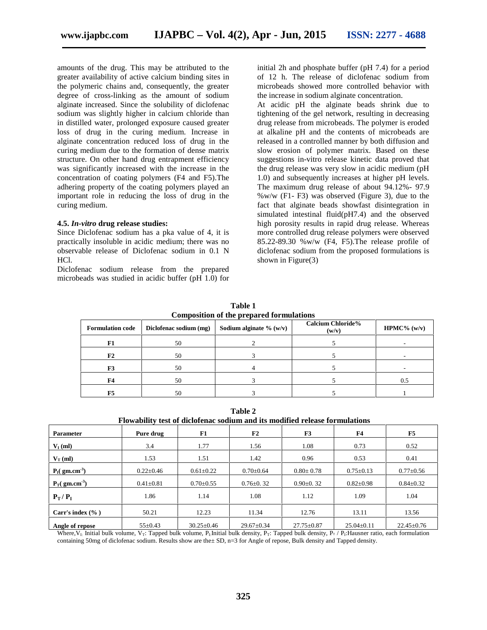amounts of the drug. This may be attributed to the greater availability of active calcium binding sites in the polymeric chains and, consequently, the greater degree of cross-linking as the amount of sodium alginate increased. Since the solubility of diclofenac sodium was slightly higher in calcium chloride than in distilled water, prolonged exposure caused greater loss of drug in the curing medium. Increase in alginate concentration reduced loss of drug in the curing medium due to the formation of dense matrix structure. On other hand drug entrapment efficiency was significantly increased with the increase in the concentration of coating polymers (F4 and F5).The adhering property of the coating polymers played an important role in reducing the loss of drug in the curing medium.

#### **4.5.** *In-vitro* **drug release studies:**

Since Diclofenac sodium has a pka value of 4, it is practically insoluble in acidic medium; there was no observable release of Diclofenac sodium in 0.1 N HCl.

Diclofenac sodium release from the prepared microbeads was studied in acidic buffer (pH 1.0) for initial 2h and phosphate buffer (pH 7.4) for a period of 12 h. The release of diclofenac sodium from microbeads showed more controlled behavior with the increase in sodium alginate concentration.

At acidic pH the alginate beads shrink due to tightening of the gel network, resulting in decreasing drug release from microbeads. The polymer is eroded at alkaline pH and the contents of microbeads are released in a controlled manner by both diffusion and slow erosion of polymer matrix. Based on these suggestions in-vitro release kinetic data proved that the drug release was very slow in acidic medium (pH 1.0) and subsequently increases at higher pH levels. The maximum drug release of about 94.12%- 97.9 %w/w (F1- F3) was observed (Figure 3), due to the fact that alginate beads showfast disintegration in simulated intestinal fluid(pH7.4) and the observed high porosity results in rapid drug release. Whereas more controlled drug release polymers were observed 85.22-89.30 %w/w (F4, F5).The release profile of diclofenac sodium from the proposed formulations is shown in Figure(3)

| <b>Composition of the prepared formulations</b> |                        |                            |                                   |               |
|-------------------------------------------------|------------------------|----------------------------|-----------------------------------|---------------|
| <b>Formulation code</b>                         | Diclofenac sodium (mg) | Sodium alginate $\%$ (w/v) | <b>Calcium Chloride%</b><br>(w/v) | $HPMC%$ (w/v) |
| F1                                              | 50                     |                            |                                   |               |
| F2                                              | 50                     |                            |                                   |               |
| F3                                              | 50                     |                            |                                   |               |
| F4                                              | 50                     |                            |                                   | 0.5           |
| F5                                              | 50                     |                            |                                   |               |

**Table 1**

**Table 2 Flowability test of diclofenac sodium and its modified release formulations**

| тто паклит тем от ансиотение момнин ина температом готовые тот ними поня |                 |                  |                  |                  |                  |                  |
|--------------------------------------------------------------------------|-----------------|------------------|------------------|------------------|------------------|------------------|
| <b>Parameter</b>                                                         | Pure drug       | F1               | F2               | F3               | F <sub>4</sub>   | F5               |
| $V_{I}$ (ml)                                                             | 3.4             | 1.77             | 1.56             | 1.08             | 0.73             | 0.52             |
| $V_T$ (ml)                                                               | 1.53            | 1.51             | 1.42             | 0.96             | 0.53             | 0.41             |
| $I($ gm.cm <sup>-3</sup> )                                               | $0.22 \pm 0.46$ | $0.61 \pm 0.22$  | $0.70 \pm 0.64$  | $0.80 \pm 0.78$  | $0.75 \pm 0.13$  | $0.77 \pm 0.56$  |
| $_{\text{T}}$ ( gm.cm <sup>-3</sup> )                                    | $0.41 \pm 0.81$ | $0.70 \pm 0.55$  | $0.76 \pm 0.32$  | $0.90 \pm 0.32$  | $0.82 \pm 0.98$  | $0.84 \pm 0.32$  |
| $T^{\prime}$<br>$\mathbf{I}$                                             | 1.86            | 1.14             | 1.08             | 1.12             | 1.09             | 1.04             |
| Carr's index $(\%$ )                                                     | 50.21           | 12.23            | 11.34            | 12.76            | 13.11            | 13.56            |
| Angle of repose                                                          | $55 \pm 0.43$   | $30.25 \pm 0.46$ | $29.67 \pm 0.34$ | $27.75 \pm 0.87$ | $25.04 \pm 0.11$ | $22.45 \pm 0.76$ |

Where,  $V_L$ : Initial bulk volume,  $V_T$ : Tapped bulk volume,  $P_L$ Initial bulk density,  $P_T$ : Tapped bulk density,  $P_T$  /  $P_L$ : Hausner ratio, each formulation containing 50mg of diclofenac sodium. Results show are the± SD, n=3 for Angle of repose, Bulk density and Tapped density.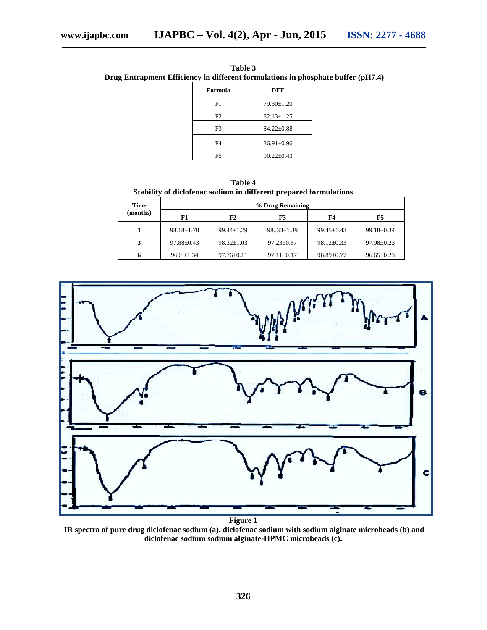|                | apment Efficiency in different formulations in phosphate buffer |  |
|----------------|-----------------------------------------------------------------|--|
| Formula        | DEE                                                             |  |
| F1             | $79.30 \pm 1.20$                                                |  |
| F <sub>2</sub> | $82.13 \pm 1.25$                                                |  |
| F3             | $84.22 \pm 0.88$                                                |  |

F4 86.91±0.96 F5  $90.22 \pm 0.43$ 

**Table 3 Drug Entrapment Efficiency in different formulations in phosphate buffer (pH7.4)**

**Table 4 Stability of diclofenac sodium in different prepared formulations**

| Time     | % Drug Remaining |                  |                  |                  |                  |  |
|----------|------------------|------------------|------------------|------------------|------------------|--|
| (months) | F1               | F2               | F3               | <b>F4</b>        | F5               |  |
|          | $98.18 \pm 1.78$ | $99.44 \pm 1.29$ | $9833 \pm 1.39$  | $99.45 \pm 1.43$ | $99.18 \pm 0.34$ |  |
| 3        | $97.88 \pm 0.43$ | $98.32 \pm 1.03$ | $97.23 \pm 0.67$ | $98.12 \pm 0.33$ | $97.98 \pm 0.23$ |  |
| h        | $9698 \pm 1.34$  | $97.76 \pm 0.11$ | $97.11 \pm 0.17$ | $96.89 \pm 0.77$ | $96.65 \pm 0.23$ |  |



**Figure 1**

**IR spectra of pure drug diclofenac sodium (a), diclofenac sodium with sodium alginate microbeads (b) and diclofenac sodium sodium alginate-HPMC microbeads (c).**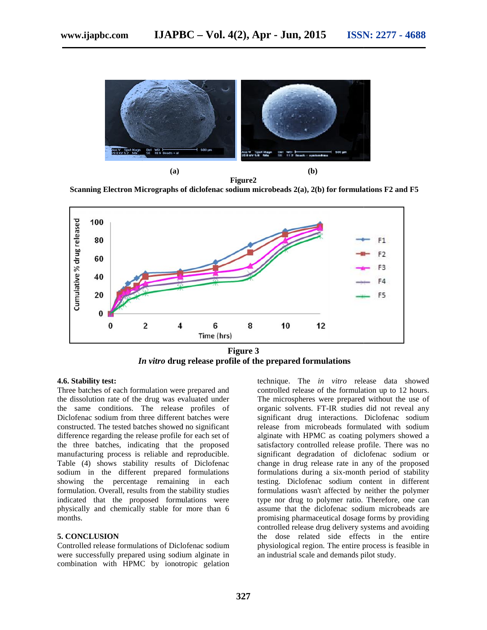

**Figure2**

(a)<br>**Figure2**<br>Scanning Electron Micrographs of diclofenac sodium microbeads 2(a), 2(b) for formulations F2 and F5



**Figure 3** *In vitro* **drug release profile of the prepared formulations the prepared formulations**

#### **4.6. Stability test: test:**

Three batches of each formulation were prepared and Three batches of each formulation were prepared and<br>the dissolution rate of the drug was evaluated under the same conditions. The release profiles of Diclofenac sodium from three different batches were constructed. The tested batches showed no significant difference regarding the release profile for each set of the three batches, indicating that the proposed manufacturing process is reliable and reproducible. Table (4) shows stability results of Diclofenac sodium in the different prepared formulations showing the percentage remaining in each formulation. Overall, results from the stability studies indicated that the proposed formulations were physically and chemically stable for more than 6 months.

#### **5. CONCLUSION**

Controlled release formulations of Diclofenac sodium were successfully prepared using sodium alginate in combination with HPMC by ionotropic gelation

technique. The *in vitro* release data showed controlled release of the formulation up to 12 hours. The microspheres were prepared without the use of organic solvents. FT-IR studies did not reveal any significant drug interactions. Diclofenac sodium release from microbeads formulated with sodium alginate with HPMC as coating polymers showed a satisfactory controlled release profile. There was no significant degradation of diclofenac sodium or change in drug release rate in any of the proposed formulations during a six-month period of stability testing. Diclofenac sodium content in different formulations wasn't affected by neither the polymer type nor drug to polymer ratio. Therefore, one can assume that the diclofenac sodium microbeads are promising pharmaceutical dosage forms by providing controlled release drug delivery systems and avoiding the dose related side effects in the entire physiological region. The entire process is feasible in an industrial scale and demands pilot study. **tability test**<br>
the dechase of the formulation were prepared and controlled release of the formulation up to 12 hours,<br>
solution rate of the drug was evaluated under<br>
The microspheres were prepared without the use of<br>
rem interactions. Diclofenac sodius are significant drug interactions. Diclofenac sodius<br>
interactions release from microbeads formulated with sodius<br>
interactions are proposed satisfactory controlled release profile. There wa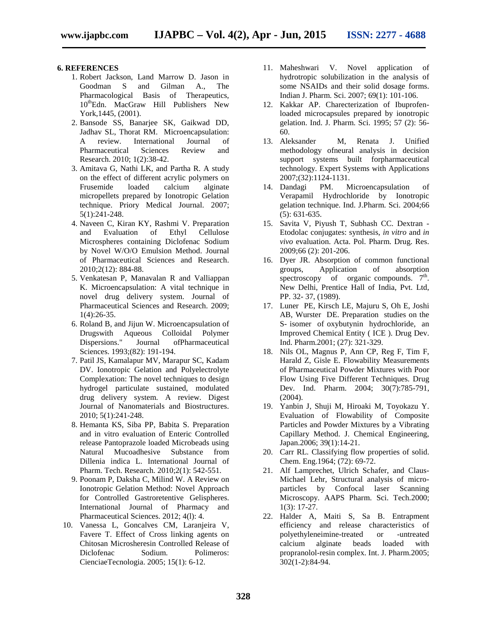#### **6. REFERENCES**

- 1. Robert Jackson, Land Marrow D. Jason in Goodman S and Gilman A., The Pharmacological Basis of Therapeutics, 10<sup>th</sup>Edn. MacGraw Hill Publishers New York,1445, (2001).
- 2. Bansode SS, Banarjee SK, Gaikwad DD, Jadhav SL, Thorat RM. Microencapsulation: A review. International Journal of Pharmaceutical Sciences Review and Research. 2010; 1(2):38-42.
- 3. Amitava G, Nathi LK, and Partha R. A study on the effect of different acrylic polymers on Frusemide loaded calcium alginate micropellets prepared by Ionotropic Gelation technique. Priory Medical Journal. 2007; 5(1):241-248.
- 4. Naveen C, Kiran KY, Rashmi V. Preparation and Evaluation of Ethyl Cellulose Microspheres containing Diclofenac Sodium by Novel W/O/O Emulsion Method. Journal of Pharmaceutical Sciences and Research. 2010;2(12): 884-88.
- 5. Venkatesan P, Manavalan R and Valliappan K. Microencapsulation: A vital technique in novel drug delivery system. Journal of Pharmaceutical Sciences and Research. 2009; 1(4):26-35.
- 6. Roland B, and Jijun W. Microencapsulation of Drugswith Aqueous Colloidal Polymer Dispersions." Journal ofPharmaceutical Sciences. 1993;(82): 191-194.
- 7. Patil JS, Kamalapur MV, Marapur SC, Kadam DV. Ionotropic Gelation and Polyelectrolyte Complexation: The novel techniques to design hydrogel particulate sustained, modulated drug delivery system. A review. Digest Journal of Nanomaterials and Biostructures. 2010; 5(1):241-248.
- 8. Hemanta KS, Siba PP, Babita S. Preparation and in vitro evaluation of Enteric Controlled release Pantoprazole loaded Microbeads using Natural Mucoadhesive Substance from Dillenia indica L. International Journal of Pharm. Tech. Research. 2010;2(1): 542-551.
- 9. Poonam P, Daksha C, Milind W. A Review on Ionotropic Gelation Method: Novel Approach for Controlled Gastroretentive Gelispheres. International Journal of Pharmacy and Pharmaceutical Sciences. 2012; 4(l): 4.
- 10. Vanessa L, Goncalves CM, Laranjeira V, Favere T. Effect of Cross linking agents on Chitosan Microsheresin Controlled Release of Diclofenac Sodium. Polimeros: CienciaeTecnologia. 2005; 15(1): 6-12.
- 11. Maheshwari V. Novel application of hydrotropic solubilization in the analysis of some NSAIDs and their solid dosage forms. Indian J. Pharm. Sci. 2007; 69(1): 101-106.
- 12. Kakkar AP. Charecterization of Ibuprofenloaded microcapsules prepared by ionotropic gelation. Ind. J. Pharm. Sci. 1995; 57 (2): 56- 60.
- 13. Aleksander M, Renata J. Unified methodology ofneural analysis in decision support systems built forpharmaceutical technology. Expert Systems with Applications 2007;(32):1124-1131.
- 14. Dandagi PM. Microencapsulation of Verapamil Hydrochloride by Ionotropic gelation technique. Ind. J.Pharm. Sci. 2004;66 (5): 631-635.
- 15. Savita V, Piyush T, Subhash CC. Dextran Etodolac conjugates: synthesis, *in vitro* and *in vivo* evaluation. Acta. Pol. Pharm. Drug. Res. 2009;66 (2): 201-206.
- 16. Dyer JR. Absorption of common functional groups, Application of absorption spectroscopy of organic compounds.  $7<sup>th</sup>$ . New Delhi, Prentice Hall of India, Pvt. Ltd, PP. 32- 37, (1989).
- 17. Luner PE, Kirsch LE, Majuru S, Oh E, Joshi AB, Wurster DE. Preparation studies on the S- isomer of oxybutynin hydrochloride, an Improved Chemical Entity ( ICE ). Drug Dev. Ind. Pharm.2001; (27): 321-329.
- 18. Nils OL, Magnus P, Ann CP, Reg F, Tim F, Harald Z, Gisle E. Flowability Measurements of Pharmaceutical Powder Mixtures with Poor Flow Using Five Different Techniques. Drug Dev. Ind. Pharm. 2004; 30(7):785-791, (2004).
- 19. Yanbin J, Shuji M, Hiroaki M, Toyokazu Y. Evaluation of Flowability of Composite Particles and Powder Mixtures by a Vibrating Capillary Method. J. Chemical Engineering, Japan.2006; 39(1):14-21.
- 20. Carr RL. Classifying flow properties of solid. Chem. Eng.1964; (72): 69-72.
- 21. Alf Lamprechet, Ulrich Schafer, and Claus- Michael Lehr, Structural analysis of micro particles by Confocal laser Scanning Microscopy. AAPS Pharm. Sci. Tech.2000; 1(3): 17-27.
- 22. Halder A, Maiti S, Sa B. Entrapment efficiency and release characteristics of polyethyleneimine-treated or -untreated calcium alginate beads loaded with propranolol-resin complex. Int. J. Pharm.2005; 302(1-2):84-94.